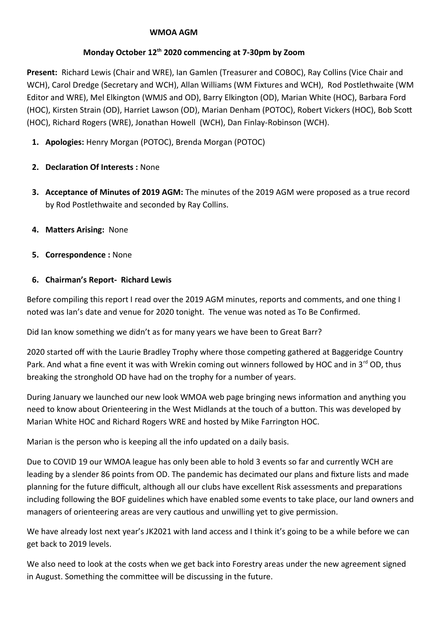#### **WMOA AGM**

### **Monday October 12th 2020 commencing at 7-30pm by Zoom**

**Present:** Richard Lewis (Chair and WRE), Ian Gamlen (Treasurer and COBOC), Ray Collins (Vice Chair and WCH), Carol Dredge (Secretary and WCH), Allan Williams (WM Fixtures and WCH), Rod Postlethwaite (WM Editor and WRE), Mel Elkington (WMJS and OD), Barry Elkington (OD), Marian White (HOC), Barbara Ford (HOC), Kirsten Strain (OD), Harriet Lawson (OD), Marian Denham (POTOC), Robert Vickers (HOC), Bob Scott (HOC), Richard Rogers (WRE), Jonathan Howell (WCH), Dan Finlay-Robinson (WCH).

- **1. Apologies:** Henry Morgan (POTOC), Brenda Morgan (POTOC)
- **2. Declaration Of Interests :** None
- **3. Acceptance of Minutes of 2019 AGM:** The minutes of the 2019 AGM were proposed as a true record by Rod Postlethwaite and seconded by Ray Collins.
- **4. Matters Arising:** None
- **5. Correspondence :** None

# **6. Chairman's Report- Richard Lewis**

Before compiling this report I read over the 2019 AGM minutes, reports and comments, and one thing I noted was Ian's date and venue for 2020 tonight. The venue was noted as To Be Confirmed.

Did Ian know something we didn't as for many years we have been to Great Barr?

2020 started off with the Laurie Bradley Trophy where those competing gathered at Baggeridge Country Park. And what a fine event it was with Wrekin coming out winners followed by HOC and in 3<sup>rd</sup> OD, thus breaking the stronghold OD have had on the trophy for a number of years.

During January we launched our new look WMOA web page bringing news information and anything you need to know about Orienteering in the West Midlands at the touch of a button. This was developed by Marian White HOC and Richard Rogers WRE and hosted by Mike Farrington HOC.

Marian is the person who is keeping all the info updated on a daily basis.

Due to COVID 19 our WMOA league has only been able to hold 3 events so far and currently WCH are leading by a slender 86 points from OD. The pandemic has decimated our plans and fixture lists and made planning for the future difficult, although all our clubs have excellent Risk assessments and preparations including following the BOF guidelines which have enabled some events to take place, our land owners and managers of orienteering areas are very cautious and unwilling yet to give permission.

We have already lost next year's JK2021 with land access and I think it's going to be a while before we can get back to 2019 levels.

We also need to look at the costs when we get back into Forestry areas under the new agreement signed in August. Something the committee will be discussing in the future.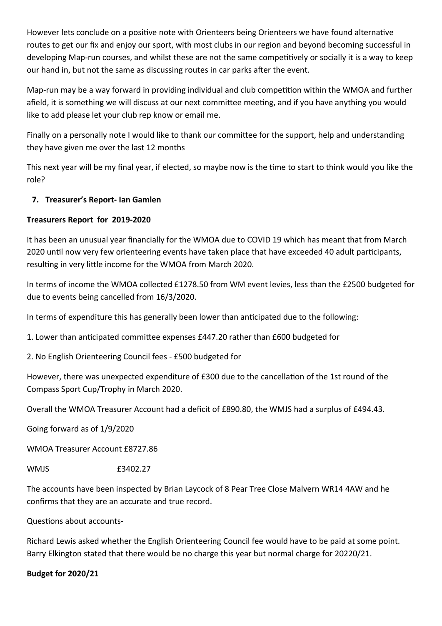However lets conclude on a positive note with Orienteers being Orienteers we have found alternative routes to get our fix and enjoy our sport, with most clubs in our region and beyond becoming successful in developing Map-run courses, and whilst these are not the same competitively or socially it is a way to keep our hand in, but not the same as discussing routes in car parks after the event.

Map-run may be a way forward in providing individual and club competition within the WMOA and further afield, it is something we will discuss at our next committee meeting, and if you have anything you would like to add please let your club rep know or email me.

Finally on a personally note I would like to thank our committee for the support, help and understanding they have given me over the last 12 months

This next year will be my final year, if elected, so maybe now is the time to start to think would you like the role?

# **7. Treasurer's Report- Ian Gamlen**

### **Treasurers Report for 2019-2020**

It has been an unusual year financially for the WMOA due to COVID 19 which has meant that from March 2020 until now very few orienteering events have taken place that have exceeded 40 adult participants, resulting in very little income for the WMOA from March 2020.

In terms of income the WMOA collected £1278.50 from WM event levies, less than the £2500 budgeted for due to events being cancelled from 16/3/2020.

In terms of expenditure this has generally been lower than anticipated due to the following:

1. Lower than anticipated committee expenses £447.20 rather than £600 budgeted for

2. No English Orienteering Council fees - £500 budgeted for

However, there was unexpected expenditure of £300 due to the cancellation of the 1st round of the Compass Sport Cup/Trophy in March 2020.

Overall the WMOA Treasurer Account had a deficit of £890.80, the WMJS had a surplus of £494.43.

Going forward as of 1/9/2020

WMOA Treasurer Account £8727.86

WMJS £3402.27

The accounts have been inspected by Brian Laycock of 8 Pear Tree Close Malvern WR14 4AW and he confirms that they are an accurate and true record.

Questions about accounts-

Richard Lewis asked whether the English Orienteering Council fee would have to be paid at some point. Barry Elkington stated that there would be no charge this year but normal charge for 20220/21.

#### **Budget for 2020/21**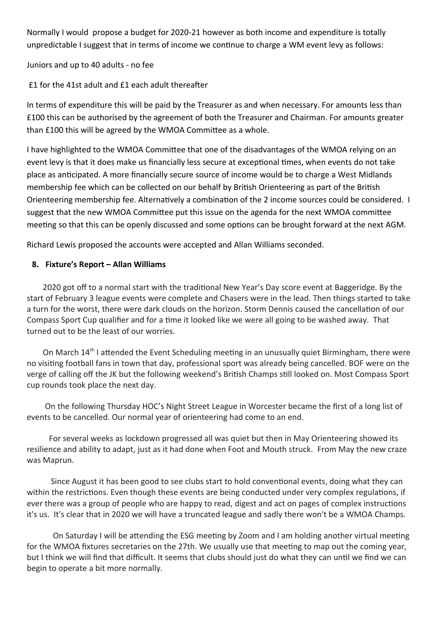Normally I would propose a budget for 2020-21 however as both income and expenditure is totally unpredictable I suggest that in terms of income we continue to charge a WM event levy as follows:

Juniors and up to 40 adults - no fee

£1 for the 41st adult and £1 each adult thereafter

In terms of expenditure this will be paid by the Treasurer as and when necessary. For amounts less than £100 this can be authorised by the agreement of both the Treasurer and Chairman. For amounts greater than £100 this will be agreed by the WMOA Committee as a whole.

I have highlighted to the WMOA Committee that one of the disadvantages of the WMOA relying on an event levy is that it does make us financially less secure at exceptional times, when events do not take place as anticipated. A more financially secure source of income would be to charge a West Midlands membership fee which can be collected on our behalf by British Orienteering as part of the British Orienteering membership fee. Alternatively a combination of the 2 income sources could be considered. I suggest that the new WMOA Committee put this issue on the agenda for the next WMOA committee meeting so that this can be openly discussed and some options can be brought forward at the next AGM.

Richard Lewis proposed the accounts were accepted and Allan Williams seconded.

### **8. Fixture's Report – Allan Williams**

2020 got off to a normal start with the traditional New Year's Day score event at Baggeridge. By the start of February 3 league events were complete and Chasers were in the lead. Then things started to take a turn for the worst, there were dark clouds on the horizon. Storm Dennis caused the cancellation of our Compass Sport Cup qualifier and for a time it looked like we were all going to be washed away. That turned out to be the least of our worries.

On March 14<sup>th</sup> I attended the Event Scheduling meeting in an unusually quiet Birmingham, there were no visiting football fans in town that day, professional sport was already being cancelled. BOF were on the verge of calling off the JK but the following weekend's British Champs still looked on. Most Compass Sport cup rounds took place the next day.

 On the following Thursday HOC's Night Street League in Worcester became the first of a long list of events to be cancelled. Our normal year of orienteering had come to an end.

 For several weeks as lockdown progressed all was quiet but then in May Orienteering showed its resilience and ability to adapt, just as it had done when Foot and Mouth struck. From May the new craze was Maprun.

 Since August it has been good to see clubs start to hold conventional events, doing what they can within the restrictions. Even though these events are being conducted under very complex regulations, if ever there was a group of people who are happy to read, digest and act on pages of complex instructions it's us. It's clear that in 2020 we will have a truncated league and sadly there won't be a WMOA Champs.

 On Saturday I will be attending the ESG meeting by Zoom and I am holding another virtual meeting for the WMOA fixtures secretaries on the 27th. We usually use that meeting to map out the coming year, but I think we will find that difficult. It seems that clubs should just do what they can until we find we can begin to operate a bit more normally.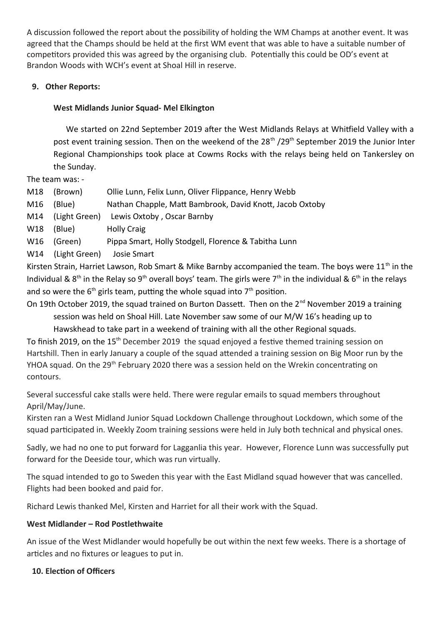A discussion followed the report about the possibility of holding the WM Champs at another event. It was agreed that the Champs should be held at the first WM event that was able to have a suitable number of competitors provided this was agreed by the organising club. Potentially this could be OD's event at Brandon Woods with WCH's event at Shoal Hill in reserve.

### **9. Other Reports:**

### **West Midlands Junior Squad- Mel Elkington**

 We started on 22nd September 2019 after the West Midlands Relays at Whitfield Valley with a post event training session. Then on the weekend of the 28<sup>th</sup> /29<sup>th</sup> September 2019 the Junior Inter Regional Championships took place at Cowms Rocks with the relays being held on Tankersley on the Sunday.

The team was: -

- M18 (Brown) Ollie Lunn, Felix Lunn, Oliver Flippance, Henry Webb
- M16 (Blue) Nathan Chapple, Matt Bambrook, David Knott, Jacob Oxtoby
- M14 (Light Green) Lewis Oxtoby , Oscar Barnby
- W18 (Blue) Holly Craig
- W16 (Green) Pippa Smart, Holly Stodgell, Florence & Tabitha Lunn
- W14 (Light Green) Josie Smart

Kirsten Strain, Harriet Lawson, Rob Smart & Mike Barnby accompanied the team. The boys were 11<sup>th</sup> in the Individual & 8<sup>th</sup> in the Relay so 9<sup>th</sup> overall boys' team. The girls were 7<sup>th</sup> in the individual & 6<sup>th</sup> in the relays and so were the  $6<sup>th</sup>$  girls team, putting the whole squad into  $7<sup>th</sup>$  position.

On 19th October 2019, the squad trained on Burton Dassett. Then on the 2<sup>nd</sup> November 2019 a training session was held on Shoal Hill. Late November saw some of our M/W 16's heading up to Hawskhead to take part in a weekend of training with all the other Regional squads.

To finish 2019, on the 15<sup>th</sup> December 2019 the squad enjoyed a festive themed training session on Hartshill. Then in early January a couple of the squad attended a training session on Big Moor run by the YHOA squad. On the 29<sup>th</sup> February 2020 there was a session held on the Wrekin concentrating on contours.

Several successful cake stalls were held. There were regular emails to squad members throughout April/May/June.

Kirsten ran a West Midland Junior Squad Lockdown Challenge throughout Lockdown, which some of the squad participated in. Weekly Zoom training sessions were held in July both technical and physical ones.

Sadly, we had no one to put forward for Lagganlia this year. However, Florence Lunn was successfully put forward for the Deeside tour, which was run virtually.

The squad intended to go to Sweden this year with the East Midland squad however that was cancelled. Flights had been booked and paid for.

Richard Lewis thanked Mel, Kirsten and Harriet for all their work with the Squad.

# **West Midlander – Rod Postlethwaite**

An issue of the West Midlander would hopefully be out within the next few weeks. There is a shortage of articles and no fixtures or leagues to put in.

#### **10. Election of Officers**